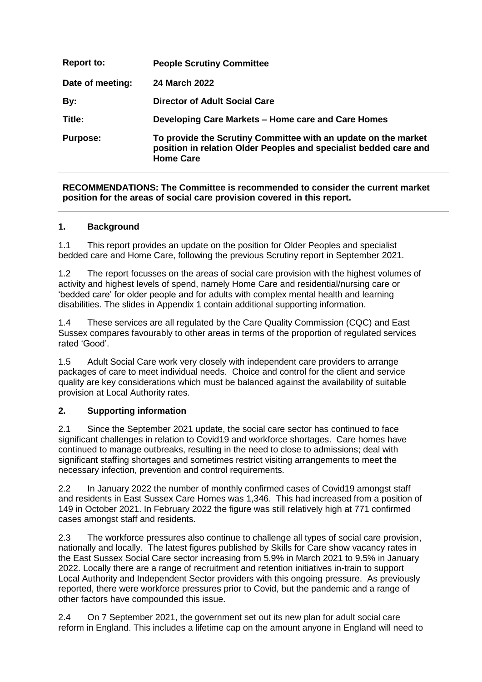| <b>Report to:</b> | <b>People Scrutiny Committee</b>                                                                                                                        |
|-------------------|---------------------------------------------------------------------------------------------------------------------------------------------------------|
| Date of meeting:  | <b>24 March 2022</b>                                                                                                                                    |
| By:               | <b>Director of Adult Social Care</b>                                                                                                                    |
| Title:            | Developing Care Markets - Home care and Care Homes                                                                                                      |
| <b>Purpose:</b>   | To provide the Scrutiny Committee with an update on the market<br>position in relation Older Peoples and specialist bedded care and<br><b>Home Care</b> |

### **RECOMMENDATIONS: The Committee is recommended to consider the current market position for the areas of social care provision covered in this report.**

## **1. Background**

1.1 This report provides an update on the position for Older Peoples and specialist bedded care and Home Care, following the previous Scrutiny report in September 2021.

1.2 The report focusses on the areas of social care provision with the highest volumes of activity and highest levels of spend, namely Home Care and residential/nursing care or 'bedded care' for older people and for adults with complex mental health and learning disabilities. The slides in Appendix 1 contain additional supporting information.

1.4 These services are all regulated by the Care Quality Commission (CQC) and East Sussex compares favourably to other areas in terms of the proportion of regulated services rated 'Good'.

1.5 Adult Social Care work very closely with independent care providers to arrange packages of care to meet individual needs. Choice and control for the client and service quality are key considerations which must be balanced against the availability of suitable provision at Local Authority rates.

#### **2. Supporting information**

2.1 Since the September 2021 update, the social care sector has continued to face significant challenges in relation to Covid19 and workforce shortages. Care homes have continued to manage outbreaks, resulting in the need to close to admissions; deal with significant staffing shortages and sometimes restrict visiting arrangements to meet the necessary infection, prevention and control requirements.

2.2 In January 2022 the number of monthly confirmed cases of Covid19 amongst staff and residents in East Sussex Care Homes was 1,346. This had increased from a position of 149 in October 2021. In February 2022 the figure was still relatively high at 771 confirmed cases amongst staff and residents.

2.3 The workforce pressures also continue to challenge all types of social care provision, nationally and locally. The latest figures published by Skills for Care show vacancy rates in the East Sussex Social Care sector increasing from 5.9% in March 2021 to 9.5% in January 2022. Locally there are a range of recruitment and retention initiatives in-train to support Local Authority and Independent Sector providers with this ongoing pressure. As previously reported, there were workforce pressures prior to Covid, but the pandemic and a range of other factors have compounded this issue.

2.4 On 7 September 2021, the government set out its new plan for adult social care reform in England. This includes a lifetime cap on the amount anyone in England will need to